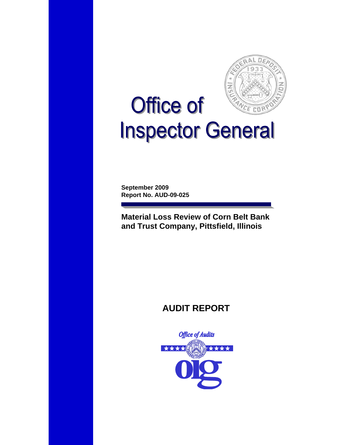

# **Office of** CE COP **Inspector General**

**September 2009 Report No. AUD-09-025**

**Material Loss Review of Corn Belt Bank and Trust Company, Pittsfield, Illinois** 

## **AUDIT REPORT**

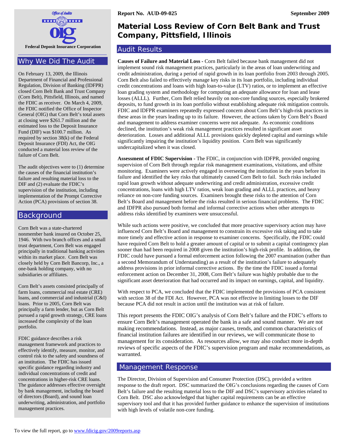

#### Why We Did The Audit

On February 13, 2009, the Illinois Department of Financial and Professional Regulation, Division of Banking (IDFPR) closed Corn Belt Bank and Trust Company (Corn Belt), Pittsfield, Illinois, and named the FDIC as receiver. On March 4, 2009, the FDIC notified the Office of Inspector General (OIG) that Corn Belt's total assets at closing were \$261.7 million and the estimated loss to the Deposit Insurance Fund (DIF) was \$100.7 million. As required by section 38(k) of the Federal Deposit Insurance (FDI) Act, the OIG conducted a material loss review of the failure of Corn Belt.

The audit objectives were to (1) determine the causes of the financial institution's failure and resulting material loss to the DIF and (2) evaluate the FDIC's supervision of the institution, including implementation of the Prompt Corrective Action (PCA) provisions of section 38.

#### Background

Corn Belt was a state-chartered nonmember bank insured on October 25, 1946. With two branch offices and a small trust department, Corn Belt was engaged principally in traditional banking activities within its market place. Corn Belt was closely held by Corn Belt Bancorp, Inc., a one-bank holding company, with no subsidiaries or affiliates.

Corn Belt's assets consisted principally of farm loans, commercial real estate (CRE) loans, and commercial and industrial (C&I) loans. Prior to 2005, Corn Belt was principally a farm lender, but as Corn Belt pursued a rapid growth strategy, CRE loans increased the complexity of the loan portfolio.

FDIC guidance describes a risk management framework and practices to effectively identify, measure, monitor, and control risk to the safety and soundness of an institution. The FDIC has issued specific guidance regarding industry and individual concentrations of credit and concentrations in higher-risk CRE loans. The guidance addresses effective oversight by bank management, including the board of directors (Board), and sound loan underwriting, administration, and portfolio management practices.

### **Material Loss Review of Corn Belt Bank and Trust Company, Pittsfield, Illinois**

#### Audit Results

**Causes of Failure and Material Loss -** Corn Belt failed because bank management did not implement sound risk management practices, particularly in the areas of loan underwriting and credit administration, during a period of rapid growth in its loan portfolio from 2003 through 2005. Corn Belt also failed to effectively manage key risks in its loan portfolio, including individual credit concentrations and loans with high loan-to-value (LTV) ratios, or to implement an effective loan grading system and methodology for computing an adequate allowance for loan and lease losses (ALLL). Further, Corn Belt relied heavily on non-core funding sources, especially brokered deposits, to fund growth in its loan portfolio without establishing adequate risk mitigation controls. FDIC and IDFPR examiners repeatedly expressed concern about Corn Belt's high-risk practices in these areas in the years leading up to its failure. However, the actions taken by Corn Belt's Board and management to address examiner concerns were not adequate. As economic conditions declined, the institution's weak risk management practices resulted in significant asset deterioration. Losses and additional ALLL provisions quickly depleted capital and earnings while significantly impairing the institution's liquidity position. Corn Belt was significantly undercapitalized when it was closed.

**Assessment of FDIC Supervision -** The FDIC, in conjunction with IDFPR, provided ongoing supervision of Corn Belt through regular risk management examinations, visitations, and offsite monitoring. Examiners were actively engaged in overseeing the institution in the years before its failure and identified the key risks that ultimately caused Corn Belt to fail. Such risks included rapid loan growth without adequate underwriting and credit administration, excessive credit concentrations, loans with high LTV ratios, weak loan grading and ALLL practices, and heavy reliance on non-core funding sources. Examiners brought these risks to the attention of Corn Belt's Board and management before the risks resulted in serious financial problems. The FDIC and IDFPR also pursued both formal and informal corrective actions when other attempts to address risks identified by examiners were unsuccessful.

While such actions were positive, we concluded that more proactive supervisory action may have influenced Corn Belt's Board and management to constrain its excessive risk taking and to take more timely and effective action in response to examiner concerns. Specifically, the FDIC could have required Corn Belt to hold a greater amount of capital or to submit a capital contingency plan sooner than had been required in 2008 given the institution's high-risk profile. In addition, the FDIC could have pursued a formal enforcement action following the 2007 examination (rather than a second Memorandum of Understanding) as a result of the institution's failure to adequately address provisions in prior informal corrective actions. By the time the FDIC issued a formal enforcement action on December 31, 2008, Corn Belt's failure was highly probable due to the significant asset deterioration that had occurred and its impact on earnings, capital, and liquidity.

With respect to PCA, we concluded that the FDIC implemented the provisions of PCA consistent with section 38 of the FDI Act. However, PCA was not effective in limiting losses to the DIF because PCA did not result in action until the institution was at risk of failure.

This report presents the FDIC OIG's analysis of Corn Belt's failure and the FDIC's efforts to ensure Corn Belt's management operated the bank in a safe and sound manner. We are not making recommendations. Instead, as major causes, trends, and common characteristics of financial institution failures are identified in our reviews, we will communicate those to management for its consideration. As resources allow, we may also conduct more in-depth reviews of specific aspects of the FDIC's supervision program and make recommendations, as warranted.

#### Management Response

The Director, Division of Supervision and Consumer Protection (DSC), provided a written response to the draft report. DSC summarized the OIG's conclusions regarding the causes of Corn Belt's failure and the resulting material loss to the DIF and DSC's supervisory activities related to Corn Belt. DSC also acknowledged that higher capital requirements can be an effective supervisory tool and that it has provided further guidance to enhance the supervision of institutions with high levels of volatile non-core funding.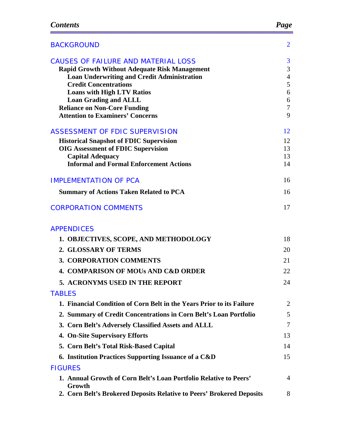| <b>BACKGROUND</b>                                                                                                                                                                                                                                                                                                                        | $\overline{2}$                                    |
|------------------------------------------------------------------------------------------------------------------------------------------------------------------------------------------------------------------------------------------------------------------------------------------------------------------------------------------|---------------------------------------------------|
| CAUSES OF FAILURE AND MATERIAL LOSS<br><b>Rapid Growth Without Adequate Risk Management</b><br><b>Loan Underwriting and Credit Administration</b><br><b>Credit Concentrations</b><br><b>Loans with High LTV Ratios</b><br><b>Loan Grading and ALLL</b><br><b>Reliance on Non-Core Funding</b><br><b>Attention to Examiners' Concerns</b> | 3<br>3<br>$\overline{4}$<br>5<br>6<br>6<br>7<br>9 |
| ASSESSMENT OF FDIC SUPERVISION                                                                                                                                                                                                                                                                                                           | 12                                                |
| <b>Historical Snapshot of FDIC Supervision</b><br><b>OIG Assessment of FDIC Supervision</b><br><b>Capital Adequacy</b><br><b>Informal and Formal Enforcement Actions</b>                                                                                                                                                                 | 12<br>13<br>13<br>14                              |
| <b>IMPLEMENTATION OF PCA</b>                                                                                                                                                                                                                                                                                                             | 16                                                |
| <b>Summary of Actions Taken Related to PCA</b>                                                                                                                                                                                                                                                                                           | 16                                                |
| <b>CORPORATION COMMENTS</b>                                                                                                                                                                                                                                                                                                              | 17                                                |
| <b>APPENDICES</b>                                                                                                                                                                                                                                                                                                                        |                                                   |
| 1. OBJECTIVES, SCOPE, AND METHODOLOGY                                                                                                                                                                                                                                                                                                    | 18                                                |
| 2. GLOSSARY OF TERMS                                                                                                                                                                                                                                                                                                                     | 20                                                |
| <b>3. CORPORATION COMMENTS</b>                                                                                                                                                                                                                                                                                                           | 21                                                |
| <b>4. COMPARISON OF MOUS AND C&amp;D ORDER</b>                                                                                                                                                                                                                                                                                           | 22                                                |
| <b>5. ACRONYMS USED IN THE REPORT</b>                                                                                                                                                                                                                                                                                                    | 24                                                |
| <b>TABLES</b>                                                                                                                                                                                                                                                                                                                            |                                                   |
| 1. Financial Condition of Corn Belt in the Years Prior to its Failure                                                                                                                                                                                                                                                                    | 2                                                 |
| 2. Summary of Credit Concentrations in Corn Belt's Loan Portfolio                                                                                                                                                                                                                                                                        | 5                                                 |
| 3. Corn Belt's Adversely Classified Assets and ALLL                                                                                                                                                                                                                                                                                      | 7                                                 |
| 4. On-Site Supervisory Efforts                                                                                                                                                                                                                                                                                                           | 13                                                |
| 5. Corn Belt's Total Risk-Based Capital                                                                                                                                                                                                                                                                                                  | 14                                                |
| 6. Institution Practices Supporting Issuance of a C&D                                                                                                                                                                                                                                                                                    | 15                                                |
| <b>FIGURES</b>                                                                                                                                                                                                                                                                                                                           |                                                   |
| 1. Annual Growth of Corn Belt's Loan Portfolio Relative to Peers'<br>Growth                                                                                                                                                                                                                                                              | 4                                                 |
| 2. Corn Belt's Brokered Deposits Relative to Peers' Brokered Deposits                                                                                                                                                                                                                                                                    | 8                                                 |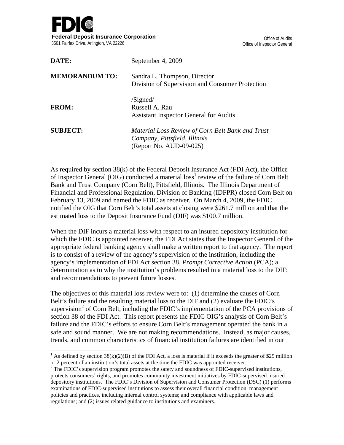$\overline{a}$ 

| DATE:                 | September 4, 2009                                                                                            |
|-----------------------|--------------------------------------------------------------------------------------------------------------|
| <b>MEMORANDUM TO:</b> | Sandra L. Thompson, Director<br>Division of Supervision and Consumer Protection                              |
| <b>FROM:</b>          | $\sqrt{\text{Signal}}$<br>Russell A. Rau<br><b>Assistant Inspector General for Audits</b>                    |
| <b>SUBJECT:</b>       | Material Loss Review of Corn Belt Bank and Trust<br>Company, Pittsfield, Illinois<br>(Report No. AUD-09-025) |

As required by section 38(k) of the Federal Deposit Insurance Act (FDI Act), the Office of Inspector General (OIG) conducted a material loss<sup>1</sup> review of the failure of Corn Belt Bank and Trust Company (Corn Belt), Pittsfield, Illinois. The Illinois Department of Financial and Professional Regulation, Division of Banking (IDFPR) closed Corn Belt on February 13, 2009 and named the FDIC as receiver. On March 4, 2009, the FDIC notified the OIG that Corn Belt's total assets at closing were \$261.7 million and that the estimated loss to the Deposit Insurance Fund (DIF) was \$100.7 million.

When the DIF incurs a material loss with respect to an insured depository institution for which the FDIC is appointed receiver, the FDI Act states that the Inspector General of the appropriate federal banking agency shall make a written report to that agency. The report is to consist of a review of the agency's supervision of the institution, including the agency's implementation of FDI Act section 38, *Prompt Corrective Action* (PCA); a determination as to why the institution's problems resulted in a material loss to the DIF; and recommendations to prevent future losses.

The objectives of this material loss review were to: (1) determine the causes of Corn Belt's failure and the resulting material loss to the DIF and (2) evaluate the FDIC's supervision<sup>2</sup> of Corn Belt, including the FDIC's implementation of the PCA provisions of section 38 of the FDI Act. This report presents the FDIC OIG's analysis of Corn Belt's failure and the FDIC's efforts to ensure Corn Belt's management operated the bank in a safe and sound manner. We are not making recommendations. Instead, as major causes, trends, and common characteristics of financial institution failures are identified in our

<sup>&</sup>lt;sup>1</sup> As defined by section 38(k)(2)(B) of the FDI Act, a loss is material if it exceeds the greater of \$25 million or 2 percent of an institution's total assets at the time the FDIC was appointed receiver. 2

 $2$  The FDIC's supervision program promotes the safety and soundness of FDIC-supervised institutions, protects consumers' rights, and promotes community investment initiatives by FDIC-supervised insured depository institutions. The FDIC's Division of Supervision and Consumer Protection (DSC) (1) performs examinations of FDIC-supervised institutions to assess their overall financial condition, management policies and practices, including internal control systems; and compliance with applicable laws and regulations; and (2) issues related guidance to institutions and examiners.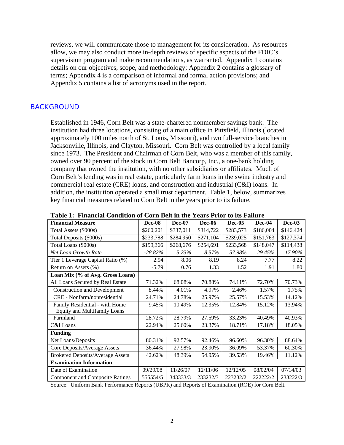reviews, we will communicate those to management for its consideration. As resources allow, we may also conduct more in-depth reviews of specific aspects of the FDIC's supervision program and make recommendations, as warranted. Appendix 1 contains details on our objectives, scope, and methodology; Appendix 2 contains a glossary of terms; Appendix 4 is a comparison of informal and formal action provisions; and Appendix 5 contains a list of acronyms used in the report.

#### BACKGROUND

Established in 1946, Corn Belt was a state-chartered nonmember savings bank. The institution had three locations, consisting of a main office in Pittsfield, Illinois (located approximately 100 miles north of St. Louis, Missouri), and two full-service branches in Jacksonville, Illinois, and Clayton, Missouri. Corn Belt was controlled by a local family since 1973. The President and Chairman of Corn Belt, who was a member of this family, owned over 90 percent of the stock in Corn Belt Bancorp, Inc., a one-bank holding company that owned the institution, with no other subsidiaries or affiliates. Much of Corn Belt's lending was in real estate, particularly farm loans in the swine industry and commercial real estate (CRE) loans, and construction and industrial (C&I) loans. In addition, the institution operated a small trust department. Table 1, below, summarizes key financial measures related to Corn Belt in the years prior to its failure.

| <b>Financial Measure</b>                | Dec-08    | Dec-07    | <b>Dec-06</b> | $Dec-05$  | Dec-04    | $Dec-03$  |
|-----------------------------------------|-----------|-----------|---------------|-----------|-----------|-----------|
| Total Assets (\$000s)                   | \$260,201 | \$337,011 | \$314,722     | \$283,573 | \$186,004 | \$146,424 |
| Total Deposits (\$000s)                 | \$233,788 | \$284,950 | \$271,104     | \$239,025 | \$151,763 | \$127,374 |
| Total Loans (\$000s)                    | \$199,366 | \$268,676 | \$254,691     | \$233,568 | \$148,047 | \$114,438 |
| Net Loan Growth Rate                    | $-28.82%$ | 5.23%     | 8.57%         | 57.98%    | 29.45%    | 17.90%    |
| Tier 1 Leverage Capital Ratio (%)       | 2.94      | 8.06      | 8.19          | 8.24      | 7.77      | 8.22      |
| Return on Assets (%)                    | $-5.79$   | 0.76      | 1.33          | 1.52      | 1.91      | 1.80      |
| Loan Mix (% of Avg. Gross Loans)        |           |           |               |           |           |           |
| All Loans Secured by Real Estate        | 71.32%    | 68.08%    | 70.88%        | 74.11%    | 72.70%    | 70.73%    |
| <b>Construction and Development</b>     | 8.44%     | 4.01%     | 4.97%         | 2.46%     | 1.57%     | 1.75%     |
| CRE - Nonfarm/nonresidential            | 24.71%    | 24.78%    | 25.97%        | 25.57%    | 15.53%    | 14.12%    |
| Family Residential - with Home          | 9.45%     | 10.49%    | 12.35%        | 12.84%    | 15.12%    | 13.94%    |
| <b>Equity and Multifamily Loans</b>     |           |           |               |           |           |           |
| Farmland                                | 28.72%    | 28.79%    | 27.59%        | 33.23%    | 40.49%    | 40.93%    |
| C&I Loans                               | 22.94%    | 25.60%    | 23.37%        | 18.71%    | 17.18%    | 18.05%    |
| <b>Funding</b>                          |           |           |               |           |           |           |
| Net Loans/Deposits                      | 80.31%    | 92.57%    | 92.46%        | 96.60%    | 96.30%    | 88.64%    |
| Core Deposits/Average Assets            | 36.44%    | 27.98%    | 23.90%        | 36.09%    | 53.37%    | 60.30%    |
| <b>Brokered Deposits/Average Assets</b> | 42.62%    | 48.39%    | 54.95%        | 39.53%    | 19.46%    | 11.12%    |
| <b>Examination Information</b>          |           |           |               |           |           |           |
| Date of Examination                     | 09/29/08  | 11/26/07  | 12/11/06      | 12/12/05  | 08/02/04  | 07/14/03  |
| <b>Component and Composite Ratings</b>  | 555554/5  | 343333/3  | 233232/3      | 223232/2  | 222222/2  | 233222/3  |

**Table 1: Financial Condition of Corn Belt in the Years Prior to its Failure** 

Source: Uniform Bank Performance Reports (UBPR) and Reports of Examination (ROE) for Corn Belt.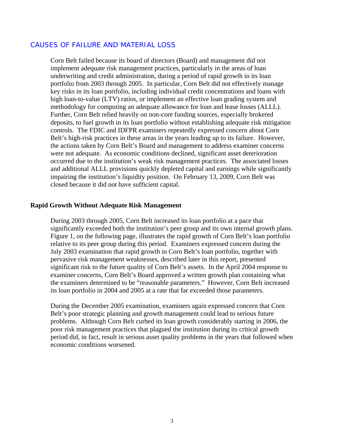#### CAUSES OF FAILURE AND MATERIAL LOSS

Corn Belt failed because its board of directors (Board) and management did not implement adequate risk management practices, particularly in the areas of loan underwriting and credit administration, during a period of rapid growth in its loan portfolio from 2003 through 2005. In particular, Corn Belt did not effectively manage key risks in its loan portfolio, including individual credit concentrations and loans with high loan-to-value (LTV) ratios, or implement an effective loan grading system and methodology for computing an adequate allowance for loan and lease losses (ALLL). Further, Corn Belt relied heavily on non-core funding sources, especially brokered deposits, to fuel growth in its loan portfolio without establishing adequate risk mitigation controls. The FDIC and IDFPR examiners repeatedly expressed concern about Corn Belt's high-risk practices in these areas in the years leading up to its failure. However, the actions taken by Corn Belt's Board and management to address examiner concerns were not adequate. As economic conditions declined, significant asset deterioration occurred due to the institution's weak risk management practices. The associated losses and additional ALLL provisions quickly depleted capital and earnings while significantly impairing the institution's liquidity position. On February 13, 2009, Corn Belt was closed because it did not have sufficient capital.

#### **Rapid Growth Without Adequate Risk Management**

During 2003 through 2005, Corn Belt increased its loan portfolio at a pace that significantly exceeded both the institution's peer group and its own internal growth plans. Figure 1, on the following page, illustrates the rapid growth of Corn Belt's loan portfolio relative to its peer group during this period. Examiners expressed concern during the July 2003 examination that rapid growth in Corn Belt's loan portfolio, together with pervasive risk management weaknesses, described later in this report, presented significant risk to the future quality of Corn Belt's assets. In the April 2004 response to examiner concerns, Corn Belt's Board approved a written growth plan containing what the examiners determined to be "reasonable parameters." However, Corn Belt increased its loan portfolio in 2004 and 2005 at a rate that far exceeded those parameters.

During the December 2005 examination, examiners again expressed concern that Corn Belt's poor strategic planning and growth management could lead to serious future problems. Although Corn Belt curbed its loan growth considerably starting in 2006, the poor risk management practices that plagued the institution during its critical growth period did, in fact, result in serious asset quality problems in the years that followed when economic conditions worsened.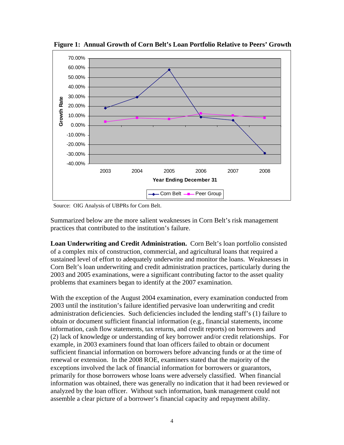

 **Figure 1: Annual Growth of Corn Belt's Loan Portfolio Relative to Peers' Growth** 

Source: OIG Analysis of UBPRs for Corn Belt.

Summarized below are the more salient weaknesses in Corn Belt's risk management practices that contributed to the institution's failure.

**Loan Underwriting and Credit Administration.** Corn Belt's loan portfolio consisted of a complex mix of construction, commercial, and agricultural loans that required a sustained level of effort to adequately underwrite and monitor the loans. Weaknesses in Corn Belt's loan underwriting and credit administration practices, particularly during the 2003 and 2005 examinations, were a significant contributing factor to the asset quality problems that examiners began to identify at the 2007 examination.

With the exception of the August 2004 examination, every examination conducted from 2003 until the institution's failure identified pervasive loan underwriting and credit administration deficiencies. Such deficiencies included the lending staff's (1) failure to obtain or document sufficient financial information (e.g., financial statements, income information, cash flow statements, tax returns, and credit reports) on borrowers and (2) lack of knowledge or understanding of key borrower and/or credit relationships. For example, in 2003 examiners found that loan officers failed to obtain or document sufficient financial information on borrowers before advancing funds or at the time of renewal or extension. In the 2008 ROE, examiners stated that the majority of the exceptions involved the lack of financial information for borrowers or guarantors, primarily for those borrowers whose loans were adversely classified. When financial information was obtained, there was generally no indication that it had been reviewed or analyzed by the loan officer. Without such information, bank management could not assemble a clear picture of a borrower's financial capacity and repayment ability.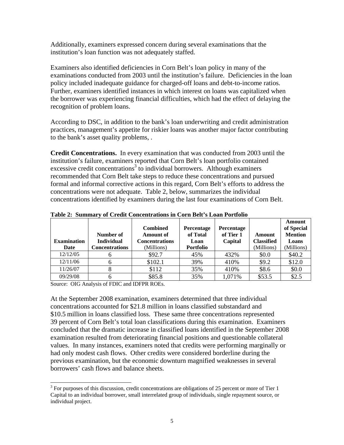Additionally, examiners expressed concern during several examinations that the institution's loan function was not adequately staffed.

Examiners also identified deficiencies in Corn Belt's loan policy in many of the examinations conducted from 2003 until the institution's failure. Deficiencies in the loan policy included inadequate guidance for charged-off loans and debt-to-income ratios. Further, examiners identified instances in which interest on loans was capitalized when the borrower was experiencing financial difficulties, which had the effect of delaying the recognition of problem loans.

According to DSC, in addition to the bank's loan underwriting and credit administration practices, management's appetite for riskier loans was another major factor contributing to the bank's asset quality problems, .

**Credit Concentrations.** In every examination that was conducted from 2003 until the institution's failure, examiners reported that Corn Belt's loan portfolio contained excessive credit concentrations<sup>3</sup> to individual borrowers. Although examiners recommended that Corn Belt take steps to reduce these concentrations and pursued formal and informal corrective actions in this regard, Corn Belt's efforts to address the concentrations were not adequate. Table 2, below, summarizes the individual concentrations identified by examiners during the last four examinations of Corn Belt.

| <b>Examination</b><br>Date | Number of<br><b>Individual</b><br><b>Concentrations</b> | <b>Combined</b><br><b>Amount of</b><br><b>Concentrations</b><br>(Millions) | Percentage<br>of Total<br>Loan<br>Portfolio | Percentage<br>of Tier 1<br>Capital | Amount<br><b>Classified</b><br>(Millions) | <b>Amount</b><br>of Special<br><b>Mention</b><br>Loans<br>(Millions) |
|----------------------------|---------------------------------------------------------|----------------------------------------------------------------------------|---------------------------------------------|------------------------------------|-------------------------------------------|----------------------------------------------------------------------|
| 12/12/05                   | <sub>0</sub>                                            | \$92.7                                                                     | 45%                                         | 432%                               | \$0.0                                     | \$40.2                                                               |
| 12/11/06                   | h                                                       | \$102.1                                                                    | 39%                                         | 410%                               | \$9.2                                     | \$12.0                                                               |
| 11/26/07                   |                                                         | \$112                                                                      | 35%                                         | 410%                               | \$8.6                                     | \$0.0                                                                |
| 09/29/08                   | 6                                                       | \$85.8                                                                     | 35%                                         | 1,071%                             | \$53.5                                    | \$2.5                                                                |

**Table 2: Summary of Credit Concentrations in Corn Belt's Loan Portfolio** 

Source: OIG Analysis of FDIC and IDFPR ROEs.

At the September 2008 examination, examiners determined that three individual concentrations accounted for \$21.8 million in loans classified substandard and \$10.5 million in loans classified loss. These same three concentrations represented 39 percent of Corn Belt's total loan classifications during this examination. Examiners concluded that the dramatic increase in classified loans identified in the September 2008 examination resulted from deteriorating financial positions and questionable collateral values. In many instances, examiners noted that credits were performing marginally or had only modest cash flows. Other credits were considered borderline during the previous examination, but the economic downturn magnified weaknesses in several borrowers' cash flows and balance sheets.

<sup>&</sup>lt;sup>3</sup> For purposes of this discussion, credit concentrations are obligations of 25 percent or more of Tier 1 Capital to an individual borrower, small interrelated group of individuals, single repayment source, or individual project.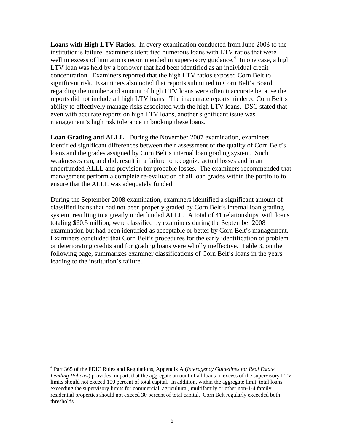**Loans with High LTV Ratios.** In every examination conducted from June 2003 to the institution's failure, examiners identified numerous loans with LTV ratios that were well in excess of limitations recommended in supervisory guidance.<sup>4</sup> In one case, a high LTV loan was held by a borrower that had been identified as an individual credit concentration. Examiners reported that the high LTV ratios exposed Corn Belt to significant risk. Examiners also noted that reports submitted to Corn Belt's Board regarding the number and amount of high LTV loans were often inaccurate because the reports did not include all high LTV loans. The inaccurate reports hindered Corn Belt's ability to effectively manage risks associated with the high LTV loans. DSC stated that even with accurate reports on high LTV loans, another significant issue was management's high risk tolerance in booking these loans.

**Loan Grading and ALLL.** During the November 2007 examination, examiners identified significant differences between their assessment of the quality of Corn Belt's loans and the grades assigned by Corn Belt's internal loan grading system. Such weaknesses can, and did, result in a failure to recognize actual losses and in an underfunded ALLL and provision for probable losses. The examiners recommended that management perform a complete re-evaluation of all loan grades within the portfolio to ensure that the ALLL was adequately funded.

During the September 2008 examination, examiners identified a significant amount of classified loans that had not been properly graded by Corn Belt's internal loan grading system, resulting in a greatly underfunded ALLL. A total of 41 relationships, with loans totaling \$60.5 million, were classified by examiners during the September 2008 examination but had been identified as acceptable or better by Corn Belt's management. Examiners concluded that Corn Belt's procedures for the early identification of problem or deteriorating credits and for grading loans were wholly ineffective. Table 3, on the following page, summarizes examiner classifications of Corn Belt's loans in the years leading to the institution's failure.

 4 Part 365 of the FDIC Rules and Regulations, Appendix A (*Interagency Guidelines for Real Estate Lending Policies*) provides, in part, that the aggregate amount of all loans in excess of the supervisory LTV limits should not exceed 100 percent of total capital. In addition, within the aggregate limit, total loans exceeding the supervisory limits for commercial, agricultural, multifamily or other non-1-4 family residential properties should not exceed 30 percent of total capital. Corn Belt regularly exceeded both thresholds.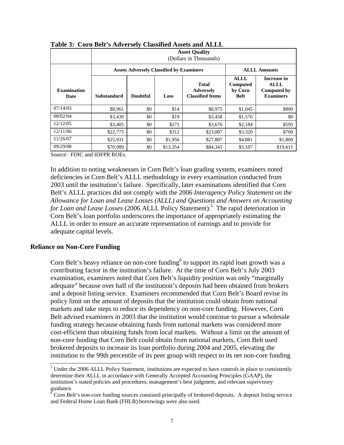|                            | <b>Asset Quality</b><br>(Dollars in Thousands)  |                 |          |                                                   |                                                                      |                     |  |
|----------------------------|-------------------------------------------------|-----------------|----------|---------------------------------------------------|----------------------------------------------------------------------|---------------------|--|
|                            | <b>Assets Adversely Classified by Examiners</b> |                 |          |                                                   |                                                                      | <b>ALLL Amounts</b> |  |
| <b>Examination</b><br>Date | Substandard                                     | <b>Doubtful</b> | Loss     | <b>ALLL</b><br>Computed<br>by Corn<br><b>Belt</b> | Increase in<br><b>ALLL</b><br><b>Computed by</b><br><b>Examiners</b> |                     |  |
| 07/14/03                   | \$8,961                                         | \$0             | \$14     | \$8,975                                           | \$1,045                                                              | \$800               |  |
| 08/02/04                   | \$3,439                                         | \$0             | \$19     | \$3,458                                           | \$1,576                                                              | \$0                 |  |
| 12/12/05                   | \$3,405                                         | \$0             | \$271    | \$3,676                                           | \$2,184                                                              | \$595               |  |
| 12/11/06                   | \$22,775                                        | \$0             | \$312    | \$23,087                                          | \$3,320                                                              | \$700               |  |
| 11/26/07                   | \$25,931                                        | \$0             | \$1,956  | \$27,887                                          | \$4,881                                                              | \$1,800             |  |
| 09/29/08                   | \$70,989                                        | \$0             | \$13,354 | \$84,343                                          | \$5,107                                                              | \$19,611            |  |

#### **Table 3: Corn Belt's Adversely Classified Assets and ALLL**

Source: FDIC and IDFPR ROEs.

In addition to noting weaknesses in Corn Belt's loan grading system, examiners noted deficiencies in Corn Belt's ALLL methodology in every examination conducted from 2003 until the institution's failure. Specifically, later examinations identified that Corn Belt's ALLL practices did not comply with the 2006 *Interagency Policy Statement on the Allowance for Loan and Lease Losses (ALLL) and Questions and Answers on Accounting*  for Loan and Lease Losses (2006 ALLL Policy Statement).<sup>5</sup> The rapid deterioration in Corn Belt's loan portfolio underscores the importance of appropriately estimating the ALLL in order to ensure an accurate representation of earnings and to provide for adequate capital levels.

#### **Reliance on Non-Core Funding**

Corn Belt's heavy reliance on non-core funding  $6$  to support its rapid loan growth was a contributing factor in the institution's failure. At the time of Corn Belt's July 2003 examination, examiners noted that Corn Belt's liquidity position was only "marginally adequate" because over half of the institution's deposits had been obtained from brokers and a deposit listing service. Examiners recommended that Corn Belt's Board revise its policy limit on the amount of deposits that the institution could obtain from national markets and take steps to reduce its dependency on non-core funding. However, Corn Belt advised examiners in 2003 that the institution would continue to pursue a wholesale funding strategy because obtaining funds from national markets was considered more cost-efficient than obtaining funds from local markets. Without a limit on the amount of non-core funding that Corn Belt could obtain from national markets, Corn Belt used brokered deposits to increase its loan portfolio during 2004 and 2005, elevating the institution to the 99th percentile of its peer group with respect to its net non-core funding

<sup>&</sup>lt;sup>5</sup><br>Under the 2006 ALLL Policy Statement, institutions are expected to have controls in place to consistently determine their ALLL in accordance with Generally Accepted Accounting Principles (GAAP), the institution's stated policies and procedures, management's best judgment, and relevant supervisory guidance.<br><sup>6</sup> Corn Belt's non-core funding sources consisted principally of brokered deposits. A deposit listing service

and Federal Home Loan Bank (FHLB) borrowings were also used.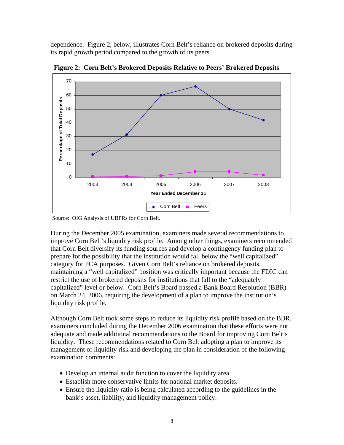dependence. Figure 2, below, illustrates Corn Belt's reliance on brokered deposits during its rapid growth period compared to the growth of its peers.



 **Figure 2: Corn Belt's Brokered Deposits Relative to Peers' Brokered Deposits** 

Source: OIG Analysis of UBPRs for Corn Belt.

During the December 2005 examination, examiners made several recommendations to improve Corn Belt's liquidity risk profile. Among other things, examiners recommended that Corn Belt diversify its funding sources and develop a contingency funding plan to prepare for the possibility that the institution would fall below the "well capitalized" category for PCA purposes. Given Corn Belt's reliance on brokered deposits, maintaining a "well capitalized" position was critically important because the FDIC can restrict the use of brokered deposits for institutions that fall to the "adequately capitalized" level or below. Corn Belt's Board passed a Bank Board Resolution (BBR) on March 24, 2006, requiring the development of a plan to improve the institution's liquidity risk profile.

Although Corn Belt took some steps to reduce its liquidity risk profile based on the BBR, examiners concluded during the December 2006 examination that these efforts were not adequate and made additional recommendations to the Board for improving Corn Belt's liquidity. These recommendations related to Corn Belt adopting a plan to improve its management of liquidity risk and developing the plan in consideration of the following examination comments:

- Develop an internal audit function to cover the liquidity area.
- Establish more conservative limits for national market deposits.
- Ensure the liquidity ratio is being calculated according to the guidelines in the bank's asset, liability, and liquidity management policy.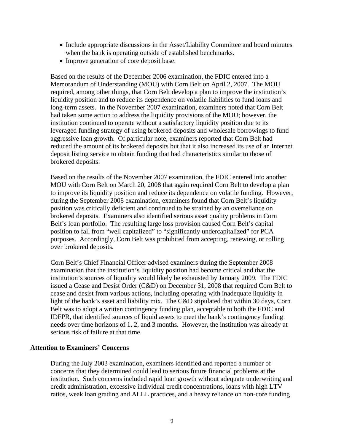- Include appropriate discussions in the Asset/Liability Committee and board minutes when the bank is operating outside of established benchmarks.
- Improve generation of core deposit base.

Based on the results of the December 2006 examination, the FDIC entered into a Memorandum of Understanding (MOU) with Corn Belt on April 2, 2007. The MOU required, among other things, that Corn Belt develop a plan to improve the institution's liquidity position and to reduce its dependence on volatile liabilities to fund loans and long-term assets. In the November 2007 examination, examiners noted that Corn Belt had taken some action to address the liquidity provisions of the MOU; however, the institution continued to operate without a satisfactory liquidity position due to its leveraged funding strategy of using brokered deposits and wholesale borrowings to fund aggressive loan growth. Of particular note, examiners reported that Corn Belt had reduced the amount of its brokered deposits but that it also increased its use of an Internet deposit listing service to obtain funding that had characteristics similar to those of brokered deposits.

Based on the results of the November 2007 examination, the FDIC entered into another MOU with Corn Belt on March 20, 2008 that again required Corn Belt to develop a plan to improve its liquidity position and reduce its dependence on volatile funding. However, during the September 2008 examination, examiners found that Corn Belt's liquidity position was critically deficient and continued to be strained by an overreliance on brokered deposits. Examiners also identified serious asset quality problems in Corn Belt's loan portfolio. The resulting large loss provision caused Corn Belt's capital position to fall from "well capitalized" to "significantly undercapitalized" for PCA purposes. Accordingly, Corn Belt was prohibited from accepting, renewing, or rolling over brokered deposits.

Corn Belt's Chief Financial Officer advised examiners during the September 2008 examination that the institution's liquidity position had become critical and that the institution's sources of liquidity would likely be exhausted by January 2009. The FDIC issued a Cease and Desist Order (C&D) on December 31, 2008 that required Corn Belt to cease and desist from various actions, including operating with inadequate liquidity in light of the bank's asset and liability mix. The C&D stipulated that within 30 days, Corn Belt was to adopt a written contingency funding plan, acceptable to both the FDIC and IDFPR, that identified sources of liquid assets to meet the bank's contingency funding needs over time horizons of 1, 2, and 3 months. However, the institution was already at serious risk of failure at that time.

#### **Attention to Examiners' Concerns**

During the July 2003 examination, examiners identified and reported a number of concerns that they determined could lead to serious future financial problems at the institution. Such concerns included rapid loan growth without adequate underwriting and credit administration, excessive individual credit concentrations, loans with high LTV ratios, weak loan grading and ALLL practices, and a heavy reliance on non-core funding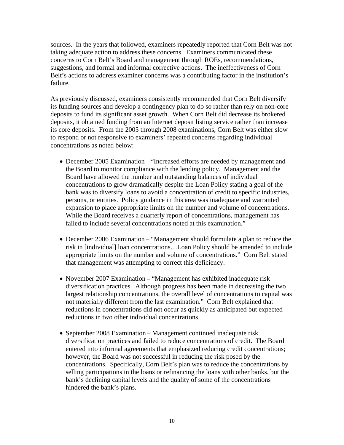sources. In the years that followed, examiners repeatedly reported that Corn Belt was not taking adequate action to address these concerns. Examiners communicated these concerns to Corn Belt's Board and management through ROEs, recommendations, suggestions, and formal and informal corrective actions. The ineffectiveness of Corn Belt's actions to address examiner concerns was a contributing factor in the institution's failure.

As previously discussed, examiners consistently recommended that Corn Belt diversify its funding sources and develop a contingency plan to do so rather than rely on non-core deposits to fund its significant asset growth. When Corn Belt did decrease its brokered deposits, it obtained funding from an Internet deposit listing service rather than increase its core deposits. From the 2005 through 2008 examinations, Corn Belt was either slow to respond or not responsive to examiners' repeated concerns regarding individual concentrations as noted below:

- December 2005 Examination "Increased efforts are needed by management and the Board to monitor compliance with the lending policy. Management and the Board have allowed the number and outstanding balances of individual concentrations to grow dramatically despite the Loan Policy stating a goal of the bank was to diversify loans to avoid a concentration of credit to specific industries, persons, or entities. Policy guidance in this area was inadequate and warranted expansion to place appropriate limits on the number and volume of concentrations. While the Board receives a quarterly report of concentrations, management has failed to include several concentrations noted at this examination."
- December 2006 Examination "Management should formulate a plan to reduce the risk in [individual] loan concentrations…Loan Policy should be amended to include appropriate limits on the number and volume of concentrations." Corn Belt stated that management was attempting to correct this deficiency.
- November 2007 Examination "Management has exhibited inadequate risk diversification practices. Although progress has been made in decreasing the two largest relationship concentrations, the overall level of concentrations to capital was not materially different from the last examination." Corn Belt explained that reductions in concentrations did not occur as quickly as anticipated but expected reductions in two other individual concentrations.
- September 2008 Examination Management continued inadequate risk diversification practices and failed to reduce concentrations of credit. The Board entered into informal agreements that emphasized reducing credit concentrations; however, the Board was not successful in reducing the risk posed by the concentrations. Specifically, Corn Belt's plan was to reduce the concentrations by selling participations in the loans or refinancing the loans with other banks, but the bank's declining capital levels and the quality of some of the concentrations hindered the bank's plans.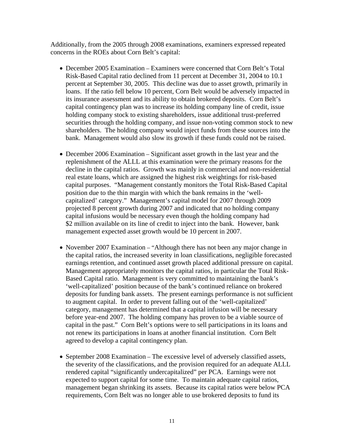Additionally, from the 2005 through 2008 examinations, examiners expressed repeated concerns in the ROEs about Corn Belt's capital:

- December 2005 Examination Examiners were concerned that Corn Belt's Total Risk-Based Capital ratio declined from 11 percent at December 31, 2004 to 10.1 percent at September 30, 2005. This decline was due to asset growth, primarily in loans. If the ratio fell below 10 percent, Corn Belt would be adversely impacted in its insurance assessment and its ability to obtain brokered deposits. Corn Belt's capital contingency plan was to increase its holding company line of credit, issue holding company stock to existing shareholders, issue additional trust-preferred securities through the holding company, and issue non-voting common stock to new shareholders. The holding company would inject funds from these sources into the bank. Management would also slow its growth if these funds could not be raised.
- December 2006 Examination Significant asset growth in the last year and the replenishment of the ALLL at this examination were the primary reasons for the decline in the capital ratios. Growth was mainly in commercial and non-residential real estate loans, which are assigned the highest risk weightings for risk-based capital purposes. "Management constantly monitors the Total Risk-Based Capital position due to the thin margin with which the bank remains in the 'wellcapitalized' category." Management's capital model for 2007 through 2009 projected 8 percent growth during 2007 and indicated that no holding company capital infusions would be necessary even though the holding company had \$2 million available on its line of credit to inject into the bank. However, bank management expected asset growth would be 10 percent in 2007.
- November 2007 Examination "Although there has not been any major change in the capital ratios, the increased severity in loan classifications, negligible forecasted earnings retention, and continued asset growth placed additional pressure on capital. Management appropriately monitors the capital ratios, in particular the Total Risk-Based Capital ratio. Management is very committed to maintaining the bank's 'well-capitalized' position because of the bank's continued reliance on brokered deposits for funding bank assets. The present earnings performance is not sufficient to augment capital. In order to prevent falling out of the 'well-capitalized' category, management has determined that a capital infusion will be necessary before year-end 2007. The holding company has proven to be a viable source of capital in the past." Corn Belt's options were to sell participations in its loans and not renew its participations in loans at another financial institution. Corn Belt agreed to develop a capital contingency plan.
- September 2008 Examination The excessive level of adversely classified assets, the severity of the classifications, and the provision required for an adequate ALLL rendered capital "significantly undercapitalized" per PCA. Earnings were not expected to support capital for some time. To maintain adequate capital ratios, management began shrinking its assets. Because its capital ratios were below PCA requirements, Corn Belt was no longer able to use brokered deposits to fund its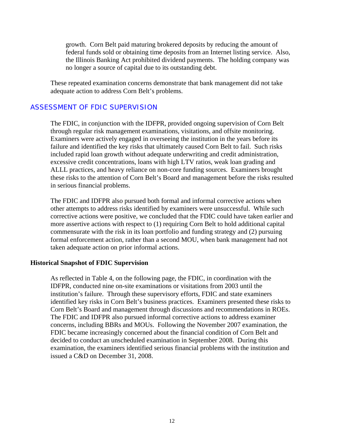growth. Corn Belt paid maturing brokered deposits by reducing the amount of federal funds sold or obtaining time deposits from an Internet listing service. Also, the Illinois Banking Act prohibited dividend payments. The holding company was no longer a source of capital due to its outstanding debt.

These repeated examination concerns demonstrate that bank management did not take adequate action to address Corn Belt's problems.

#### ASSESSMENT OF FDIC SUPERVISION

The FDIC, in conjunction with the IDFPR, provided ongoing supervision of Corn Belt through regular risk management examinations, visitations, and offsite monitoring. Examiners were actively engaged in overseeing the institution in the years before its failure and identified the key risks that ultimately caused Corn Belt to fail. Such risks included rapid loan growth without adequate underwriting and credit administration, excessive credit concentrations, loans with high LTV ratios, weak loan grading and ALLL practices, and heavy reliance on non-core funding sources. Examiners brought these risks to the attention of Corn Belt's Board and management before the risks resulted in serious financial problems.

The FDIC and IDFPR also pursued both formal and informal corrective actions when other attempts to address risks identified by examiners were unsuccessful. While such corrective actions were positive, we concluded that the FDIC could have taken earlier and more assertive actions with respect to (1) requiring Corn Belt to hold additional capital commensurate with the risk in its loan portfolio and funding strategy and (2) pursuing formal enforcement action, rather than a second MOU, when bank management had not taken adequate action on prior informal actions.

#### **Historical Snapshot of FDIC Supervision**

As reflected in Table 4, on the following page, the FDIC, in coordination with the IDFPR, conducted nine on-site examinations or visitations from 2003 until the institution's failure. Through these supervisory efforts, FDIC and state examiners identified key risks in Corn Belt's business practices. Examiners presented these risks to Corn Belt's Board and management through discussions and recommendations in ROEs. The FDIC and IDFPR also pursued informal corrective actions to address examiner concerns, including BBRs and MOUs. Following the November 2007 examination, the FDIC became increasingly concerned about the financial condition of Corn Belt and decided to conduct an unscheduled examination in September 2008. During this examination, the examiners identified serious financial problems with the institution and issued a C&D on December 31, 2008.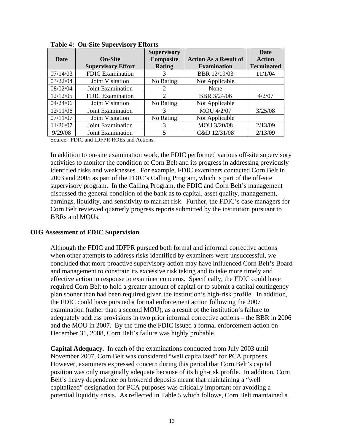|             |                           | <b>Supervisory</b> |                              | <b>Date</b>       |
|-------------|---------------------------|--------------------|------------------------------|-------------------|
| <b>Date</b> | <b>On-Site</b>            | Composite          | <b>Action As a Result of</b> | <b>Action</b>     |
|             | <b>Supervisory Effort</b> | <b>Rating</b>      | <b>Examination</b>           | <b>Terminated</b> |
| 07/14/03    | <b>FDIC</b> Examination   | 3                  | <b>BBR</b> 12/19/03          | 11/1/04           |
| 03/22/04    | Joint Visitation          | No Rating          | Not Applicable               |                   |
| 08/02/04    | Joint Examination         |                    | None                         |                   |
| 12/12/05    | <b>FDIC</b> Examination   | 2                  | BBR 3/24/06                  | 4/2/07            |
| 04/24/06    | Joint Visitation          | No Rating          | Not Applicable               |                   |
| 12/11/06    | Joint Examination         | 3                  | MOU 4/2/07                   | 3/25/08           |
| 07/11/07    | Joint Visitation          | No Rating          | Not Applicable               |                   |
| 11/26/07    | Joint Examination         |                    | MOU 3/20/08                  | 2/13/09           |
| 9/29/08     | Joint Examination         | 5                  | C&D 12/31/08                 | 2/13/09           |

**Table 4: On-Site Supervisory Efforts** 

Source: FDIC and IDFPR ROEs and Actions.

In addition to on-site examination work, the FDIC performed various off-site supervisory activities to monitor the condition of Corn Belt and its progress in addressing previously identified risks and weaknesses. For example, FDIC examiners contacted Corn Belt in 2003 and 2005 as part of the FDIC's Calling Program, which is part of the off-site supervisory program. In the Calling Program, the FDIC and Corn Belt's management discussed the general condition of the bank as to capital, asset quality, management, earnings, liquidity, and sensitivity to market risk. Further, the FDIC's case managers for Corn Belt reviewed quarterly progress reports submitted by the institution pursuant to BBRs and MOUs.

#### **OIG Assessment of FDIC Supervision**

Although the FDIC and IDFPR pursued both formal and informal corrective actions when other attempts to address risks identified by examiners were unsuccessful, we concluded that more proactive supervisory action may have influenced Corn Belt's Board and management to constrain its excessive risk taking and to take more timely and effective action in response to examiner concerns. Specifically, the FDIC could have required Corn Belt to hold a greater amount of capital or to submit a capital contingency plan sooner than had been required given the institution's high-risk profile. In addition, the FDIC could have pursued a formal enforcement action following the 2007 examination (rather than a second MOU), as a result of the institution's failure to adequately address provisions in two prior informal corrective actions – the BBR in 2006 and the MOU in 2007. By the time the FDIC issued a formal enforcement action on December 31, 2008, Corn Belt's failure was highly probable.

**Capital Adequacy.** In each of the examinations conducted from July 2003 until November 2007, Corn Belt was considered "well capitalized" for PCA purposes. However, examiners expressed concern during this period that Corn Belt's capital position was only marginally adequate because of its high-risk profile. In addition, Corn Belt's heavy dependence on brokered deposits meant that maintaining a "well capitalized" designation for PCA purposes was critically important for avoiding a potential liquidity crisis. As reflected in Table 5 which follows, Corn Belt maintained a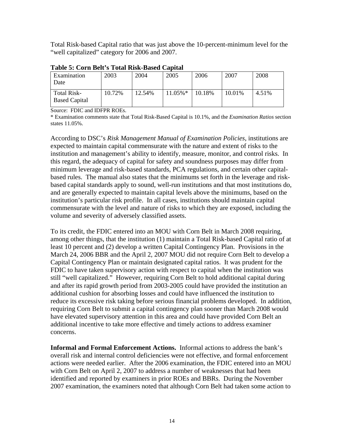Total Risk-based Capital ratio that was just above the 10-percent-minimum level for the "well capitalized" category for 2006 and 2007.

| Examination<br>Date                 | 2003   | 2004   | 2005                   | 2006   | 2007   | 2008  |
|-------------------------------------|--------|--------|------------------------|--------|--------|-------|
| Total Risk-<br><b>Based Capital</b> | 10.72% | 12.54% | $11.05\%$ <sup>*</sup> | 10.18% | 10.01% | 4.51% |

**Table 5: Corn Belt's Total Risk-Based Capital** 

Source: FDIC and IDFPR ROEs.

\* Examination comments state that Total Risk-Based Capital is 10.1%, and the *Examination Ratios* section states 11.05%.

According to DSC's *Risk Management Manual of Examination Policies*, institutions are expected to maintain capital commensurate with the nature and extent of risks to the institution and management's ability to identify, measure, monitor, and control risks. In this regard, the adequacy of capital for safety and soundness purposes may differ from minimum leverage and risk-based standards, PCA regulations, and certain other capitalbased rules. The manual also states that the minimums set forth in the leverage and riskbased capital standards apply to sound, well-run institutions and that most institutions do, and are generally expected to maintain capital levels above the minimums, based on the institution's particular risk profile. In all cases, institutions should maintain capital commensurate with the level and nature of risks to which they are exposed, including the volume and severity of adversely classified assets.

To its credit, the FDIC entered into an MOU with Corn Belt in March 2008 requiring, among other things, that the institution (1) maintain a Total Risk-based Capital ratio of at least 10 percent and (2) develop a written Capital Contingency Plan. Provisions in the March 24, 2006 BBR and the April 2, 2007 MOU did not require Corn Belt to develop a Capital Contingency Plan or maintain designated capital ratios. It was prudent for the FDIC to have taken supervisory action with respect to capital when the institution was still "well capitalized." However, requiring Corn Belt to hold additional capital during and after its rapid growth period from 2003-2005 could have provided the institution an additional cushion for absorbing losses and could have influenced the institution to reduce its excessive risk taking before serious financial problems developed. In addition, requiring Corn Belt to submit a capital contingency plan sooner than March 2008 would have elevated supervisory attention in this area and could have provided Corn Belt an additional incentive to take more effective and timely actions to address examiner concerns.

**Informal and Formal Enforcement Actions.** Informal actions to address the bank's overall risk and internal control deficiencies were not effective, and formal enforcement actions were needed earlier. After the 2006 examination, the FDIC entered into an MOU with Corn Belt on April 2, 2007 to address a number of weaknesses that had been identified and reported by examiners in prior ROEs and BBRs. During the November 2007 examination, the examiners noted that although Corn Belt had taken some action to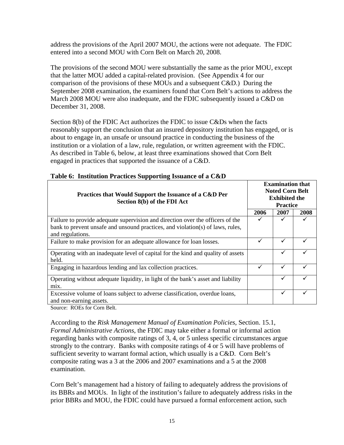address the provisions of the April 2007 MOU, the actions were not adequate. The FDIC entered into a second MOU with Corn Belt on March 20, 2008.

The provisions of the second MOU were substantially the same as the prior MOU, except that the latter MOU added a capital-related provision. (See Appendix 4 for our comparison of the provisions of these MOUs and a subsequent C&D.) During the September 2008 examination, the examiners found that Corn Belt's actions to address the March 2008 MOU were also inadequate, and the FDIC subsequently issued a C&D on December 31, 2008.

Section 8(b) of the FDIC Act authorizes the FDIC to issue C&Ds when the facts reasonably support the conclusion that an insured depository institution has engaged, or is about to engage in, an unsafe or unsound practice in conducting the business of the institution or a violation of a law, rule, regulation, or written agreement with the FDIC. As described in Table 6, below, at least three examinations showed that Corn Belt engaged in practices that supported the issuance of a C&D.

| Practices that Would Support the Issuance of a C&D Per<br>Section 8(b) of the FDI Act                                                                                                | <b>Examination that</b><br><b>Noted Corn Belt</b><br><b>Exhibited the</b><br><b>Practice</b> |      |      |
|--------------------------------------------------------------------------------------------------------------------------------------------------------------------------------------|----------------------------------------------------------------------------------------------|------|------|
|                                                                                                                                                                                      | 2006                                                                                         | 2007 | 2008 |
| Failure to provide adequate supervision and direction over the officers of the<br>bank to prevent unsafe and unsound practices, and violation(s) of laws, rules,<br>and regulations. |                                                                                              | ✓    |      |
| Failure to make provision for an adequate allowance for loan losses.                                                                                                                 |                                                                                              | ✓    |      |
| Operating with an inadequate level of capital for the kind and quality of assets<br>held.                                                                                            |                                                                                              | ✓    |      |
| Engaging in hazardous lending and lax collection practices.                                                                                                                          |                                                                                              | ✓    |      |
| Operating without adequate liquidity, in light of the bank's asset and liability<br>mix.                                                                                             |                                                                                              | ✓    |      |
| Excessive volume of loans subject to adverse classification, overdue loans,<br>and non-earning assets.                                                                               |                                                                                              | ✓    |      |

#### **Table 6: Institution Practices Supporting Issuance of a C&D**

Source: ROEs for Corn Belt.

According to the *Risk Management Manual of Examination Policies*, Section. 15.1, *Formal Administrative Actions*, the FDIC may take either a formal or informal action regarding banks with composite ratings of 3, 4, or 5 unless specific circumstances argue strongly to the contrary. Banks with composite ratings of 4 or 5 will have problems of sufficient severity to warrant formal action, which usually is a C&D. Corn Belt's composite rating was a 3 at the 2006 and 2007 examinations and a 5 at the 2008 examination.

Corn Belt's management had a history of failing to adequately address the provisions of its BBRs and MOUs. In light of the institution's failure to adequately address risks in the prior BBRs and MOU, the FDIC could have pursued a formal enforcement action, such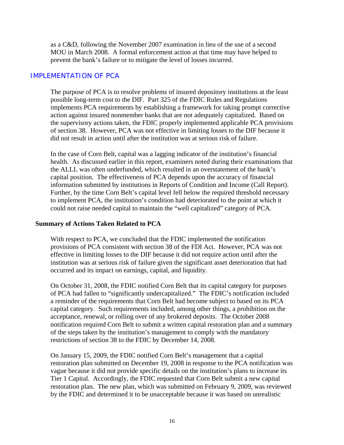as a C&D, following the November 2007 examination in lieu of the use of a second MOU in March 2008. A formal enforcement action at that time may have helped to prevent the bank's failure or to mitigate the level of losses incurred.

#### IMPLEMENTATION OF PCA

The purpose of PCA is to resolve problems of insured depository institutions at the least possible long-term cost to the DIF. Part 325 of the FDIC Rules and Regulations implements PCA requirements by establishing a framework for taking prompt corrective action against insured nonmember banks that are not adequately capitalized. Based on the supervisory actions taken, the FDIC properly implemented applicable PCA provisions of section 38. However, PCA was not effective in limiting losses to the DIF because it did not result in action until after the institution was at serious risk of failure.

In the case of Corn Belt, capital was a lagging indicator of the institution's financial health. As discussed earlier in this report, examiners noted during their examinations that the ALLL was often underfunded, which resulted in an overstatement of the bank's capital position. The effectiveness of PCA depends upon the accuracy of financial information submitted by institutions in Reports of Condition and Income (Call Report). Further, by the time Corn Belt's capital level fell below the required threshold necessary to implement PCA, the institution's condition had deteriorated to the point at which it could not raise needed capital to maintain the "well capitalized" category of PCA.

#### **Summary of Actions Taken Related to PCA**

With respect to PCA, we concluded that the FDIC implemented the notification provisions of PCA consistent with section 38 of the FDI Act. However, PCA was not effective in limiting losses to the DIF because it did not require action until after the institution was at serious risk of failure given the significant asset deterioration that had occurred and its impact on earnings, capital, and liquidity.

On October 31, 2008, the FDIC notified Corn Belt that its capital category for purposes of PCA had fallen to "significantly undercapitalized." The FDIC's notification included a reminder of the requirements that Corn Belt had become subject to based on its PCA capital category. Such requirements included, among other things, a prohibition on the acceptance, renewal, or rolling over of any brokered deposits. The October 2008 notification required Corn Belt to submit a written capital restoration plan and a summary of the steps taken by the institution's management to comply with the mandatory restrictions of section 38 to the FDIC by December 14, 2008.

On January 15, 2009, the FDIC notified Corn Belt's management that a capital restoration plan submitted on December 19, 2008 in response to the PCA notification was vague because it did not provide specific details on the institution's plans to increase its Tier 1 Capital. Accordingly, the FDIC requested that Corn Belt submit a new capital restoration plan. The new plan, which was submitted on February 9, 2009, was reviewed by the FDIC and determined it to be unacceptable because it was based on unrealistic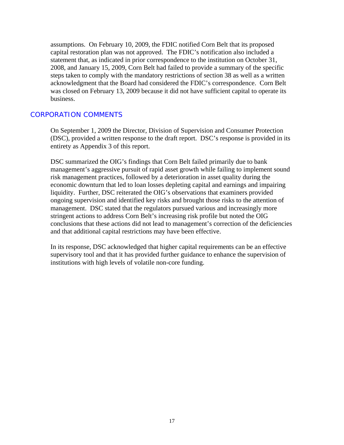assumptions. On February 10, 2009, the FDIC notified Corn Belt that its proposed capital restoration plan was not approved. The FDIC's notification also included a statement that, as indicated in prior correspondence to the institution on October 31, 2008, and January 15, 2009, Corn Belt had failed to provide a summary of the specific steps taken to comply with the mandatory restrictions of section 38 as well as a written acknowledgment that the Board had considered the FDIC's correspondence. Corn Belt was closed on February 13, 2009 because it did not have sufficient capital to operate its business.

#### CORPORATION COMMENTS

On September 1, 2009 the Director, Division of Supervision and Consumer Protection (DSC), provided a written response to the draft report. DSC's response is provided in its entirety as Appendix 3 of this report.

DSC summarized the OIG's findings that Corn Belt failed primarily due to bank management's aggressive pursuit of rapid asset growth while failing to implement sound risk management practices, followed by a deterioration in asset quality during the economic downturn that led to loan losses depleting capital and earnings and impairing liquidity. Further, DSC reiterated the OIG's observations that examiners provided ongoing supervision and identified key risks and brought those risks to the attention of management. DSC stated that the regulators pursued various and increasingly more stringent actions to address Corn Belt's increasing risk profile but noted the OIG conclusions that these actions did not lead to management's correction of the deficiencies and that additional capital restrictions may have been effective.

In its response, DSC acknowledged that higher capital requirements can be an effective supervisory tool and that it has provided further guidance to enhance the supervision of institutions with high levels of volatile non-core funding.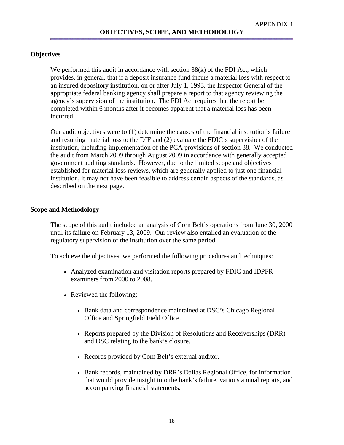#### **Objectives**

We performed this audit in accordance with section  $38(k)$  of the FDI Act, which provides, in general, that if a deposit insurance fund incurs a material loss with respect to an insured depository institution, on or after July 1, 1993, the Inspector General of the appropriate federal banking agency shall prepare a report to that agency reviewing the agency's supervision of the institution. The FDI Act requires that the report be completed within 6 months after it becomes apparent that a material loss has been incurred.

Our audit objectives were to (1) determine the causes of the financial institution's failure and resulting material loss to the DIF and (2) evaluate the FDIC's supervision of the institution, including implementation of the PCA provisions of section 38. We conducted the audit from March 2009 through August 2009 in accordance with generally accepted government auditing standards. However, due to the limited scope and objectives established for material loss reviews, which are generally applied to just one financial institution, it may not have been feasible to address certain aspects of the standards, as described on the next page.

#### **Scope and Methodology**

The scope of this audit included an analysis of Corn Belt's operations from June 30, 2000 until its failure on February 13, 2009. Our review also entailed an evaluation of the regulatory supervision of the institution over the same period.

To achieve the objectives, we performed the following procedures and techniques:

- Analyzed examination and visitation reports prepared by FDIC and IDPFR examiners from 2000 to 2008.
- Reviewed the following:
	- Bank data and correspondence maintained at DSC's Chicago Regional Office and Springfield Field Office.
	- Reports prepared by the Division of Resolutions and Receiverships (DRR) and DSC relating to the bank's closure.
	- Records provided by Corn Belt's external auditor.
	- Bank records, maintained by DRR's Dallas Regional Office, for information that would provide insight into the bank's failure, various annual reports, and accompanying financial statements.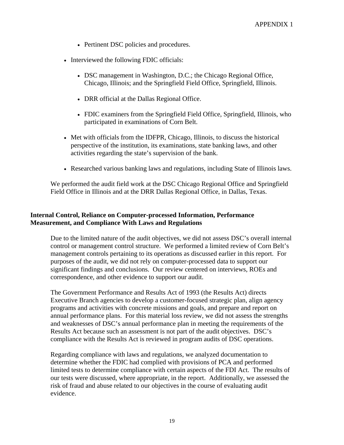- Pertinent DSC policies and procedures.
- Interviewed the following FDIC officials:
	- DSC management in Washington, D.C.; the Chicago Regional Office, Chicago, Illinois; and the Springfield Field Office, Springfield, Illinois.
	- DRR official at the Dallas Regional Office.
	- FDIC examiners from the Springfield Field Office, Springfield, Illinois, who participated in examinations of Corn Belt.
- Met with officials from the IDFPR, Chicago, Illinois, to discuss the historical perspective of the institution, its examinations, state banking laws, and other activities regarding the state's supervision of the bank.
- Researched various banking laws and regulations, including State of Illinois laws.

We performed the audit field work at the DSC Chicago Regional Office and Springfield Field Office in Illinois and at the DRR Dallas Regional Office, in Dallas, Texas.

#### **Internal Control, Reliance on Computer-processed Information, Performance Measurement, and Compliance With Laws and Regulations**

Due to the limited nature of the audit objectives, we did not assess DSC's overall internal control or management control structure. We performed a limited review of Corn Belt's management controls pertaining to its operations as discussed earlier in this report. For purposes of the audit, we did not rely on computer-processed data to support our significant findings and conclusions. Our review centered on interviews, ROEs and correspondence, and other evidence to support our audit.

The Government Performance and Results Act of 1993 (the Results Act) directs Executive Branch agencies to develop a customer-focused strategic plan, align agency programs and activities with concrete missions and goals, and prepare and report on annual performance plans. For this material loss review, we did not assess the strengths and weaknesses of DSC's annual performance plan in meeting the requirements of the Results Act because such an assessment is not part of the audit objectives. DSC's compliance with the Results Act is reviewed in program audits of DSC operations.

Regarding compliance with laws and regulations, we analyzed documentation to determine whether the FDIC had complied with provisions of PCA and performed limited tests to determine compliance with certain aspects of the FDI Act. The results of our tests were discussed, where appropriate, in the report. Additionally, we assessed the risk of fraud and abuse related to our objectives in the course of evaluating audit evidence.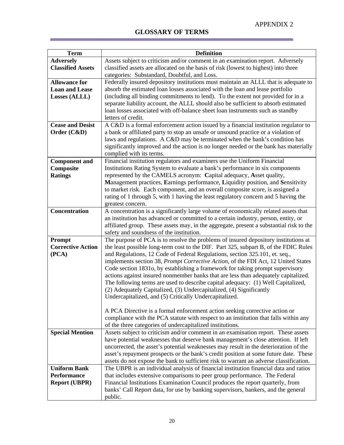è

| <b>Term</b>              | <b>Definition</b>                                                                                                                                                |
|--------------------------|------------------------------------------------------------------------------------------------------------------------------------------------------------------|
| <b>Adversely</b>         | Assets subject to criticism and/or comment in an examination report. Adversely                                                                                   |
| <b>Classified Assets</b> | classified assets are allocated on the basis of risk (lowest to highest) into three                                                                              |
|                          | categories: Substandard, Doubtful, and Loss.                                                                                                                     |
| <b>Allowance for</b>     | Federally insured depository institutions must maintain an ALLL that is adequate to                                                                              |
| <b>Loan and Lease</b>    | absorb the estimated loan losses associated with the loan and lease portfolio                                                                                    |
| Losses (ALLL)            | (including all binding commitments to lend). To the extent not provided for in a                                                                                 |
|                          | separate liability account, the ALLL should also be sufficient to absorb estimated                                                                               |
|                          | loan losses associated with off-balance sheet loan instruments such as standby                                                                                   |
|                          | letters of credit.                                                                                                                                               |
| <b>Cease and Desist</b>  | A C&D is a formal enforcement action issued by a financial institution regulator to                                                                              |
| Order (C&D)              | a bank or affiliated party to stop an unsafe or unsound practice or a violation of                                                                               |
|                          | laws and regulations. A C&D may be terminated when the bank's condition has                                                                                      |
|                          | significantly improved and the action is no longer needed or the bank has materially                                                                             |
|                          | complied with its terms.                                                                                                                                         |
| <b>Component and</b>     | Financial institution regulators and examiners use the Uniform Financial                                                                                         |
| Composite                | Institutions Rating System to evaluate a bank's performance in six components                                                                                    |
| <b>Ratings</b>           | represented by the CAMELS acronym: Capital adequacy, Asset quality,                                                                                              |
|                          | Management practices, Earnings performance, Liquidity position, and Sensitivity                                                                                  |
|                          | to market risk. Each component, and an overall composite score, is assigned a                                                                                    |
|                          | rating of 1 through 5, with 1 having the least regulatory concern and 5 having the                                                                               |
|                          | greatest concern.                                                                                                                                                |
| Concentration            | A concentration is a significantly large volume of economically related assets that                                                                              |
|                          | an institution has advanced or committed to a certain industry, person, entity, or                                                                               |
|                          | affiliated group. These assets may, in the aggregate, present a substantial risk to the                                                                          |
|                          | safety and soundness of the institution.                                                                                                                         |
| Prompt                   | The purpose of PCA is to resolve the problems of insured depository institutions at                                                                              |
| <b>Corrective Action</b> | the least possible long-term cost to the DIF. Part 325, subpart B, of the FDIC Rules                                                                             |
| (PCA)                    | and Regulations, 12 Code of Federal Regulations, section 325.101, et. seq.,<br>implements section 38, Prompt Corrective Action, of the FDI Act, 12 United States |
|                          | Code section 1831o, by establishing a framework for taking prompt supervisory                                                                                    |
|                          | actions against insured nonmember banks that are less than adequately capitalized.                                                                               |
|                          | The following terms are used to describe capital adequacy: (1) Well Capitalized,                                                                                 |
|                          | (2) Adequately Capitalized, (3) Undercapitalized, (4) Significantly                                                                                              |
|                          | Undercapitalized, and (5) Critically Undercapitalized.                                                                                                           |
|                          |                                                                                                                                                                  |
|                          | A PCA Directive is a formal enforcement action seeking corrective action or                                                                                      |
|                          | compliance with the PCA statute with respect to an institution that falls within any                                                                             |
|                          | of the three categories of undercapitalized institutions.                                                                                                        |
| <b>Special Mention</b>   | Assets subject to criticism and/or comment in an examination report. These assets                                                                                |
|                          | have potential weaknesses that deserve bank management's close attention. If left                                                                                |
|                          | uncorrected, the asset's potential weaknesses may result in the deterioration of the                                                                             |
|                          | asset's repayment prospects or the bank's credit position at some future date. These                                                                             |
|                          | assets do not expose the bank to sufficient risk to warrant an adverse classification.                                                                           |
| <b>Uniform Bank</b>      | The UBPR is an individual analysis of financial institution financial data and ratios                                                                            |
| <b>Performance</b>       | that includes extensive comparisons to peer group performance. The Federal                                                                                       |
| <b>Report (UBPR)</b>     | Financial Institutions Examination Council produces the report quarterly, from                                                                                   |
|                          | banks' Call Report data, for use by banking supervisors, bankers, and the general                                                                                |
|                          | public.                                                                                                                                                          |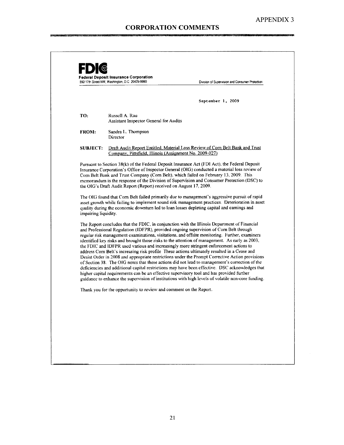te ili lilil roman de de de de la constanta de la constanta de la constanta de la constanta de la constanta de

|                      | <b>Federal Deposit Insurance Corporation</b><br>550 17th Street NW, Washington, D.C. 20429-9990                                                                                                                                                                                                                                                                                                                                                                                                                                                                                                                                                                                                                                                                                                                                                                                                                                                                                                                                                                                                | Division of Supervision and Consumer Protection |
|----------------------|------------------------------------------------------------------------------------------------------------------------------------------------------------------------------------------------------------------------------------------------------------------------------------------------------------------------------------------------------------------------------------------------------------------------------------------------------------------------------------------------------------------------------------------------------------------------------------------------------------------------------------------------------------------------------------------------------------------------------------------------------------------------------------------------------------------------------------------------------------------------------------------------------------------------------------------------------------------------------------------------------------------------------------------------------------------------------------------------|-------------------------------------------------|
|                      |                                                                                                                                                                                                                                                                                                                                                                                                                                                                                                                                                                                                                                                                                                                                                                                                                                                                                                                                                                                                                                                                                                | September 1, 2009                               |
| TO:                  | Russell A. Rau<br>Assistant Inspector General for Audits                                                                                                                                                                                                                                                                                                                                                                                                                                                                                                                                                                                                                                                                                                                                                                                                                                                                                                                                                                                                                                       |                                                 |
| <b>FROM:</b>         | Sandra L. Thompson<br>Director                                                                                                                                                                                                                                                                                                                                                                                                                                                                                                                                                                                                                                                                                                                                                                                                                                                                                                                                                                                                                                                                 |                                                 |
| <b>SUBJECT:</b>      | Draft Audit Report Entitled, Material Loss Review of Corn Belt Bank and Trust<br>Company, Pittsfield, Illinois (Assignment No. 2009-027)                                                                                                                                                                                                                                                                                                                                                                                                                                                                                                                                                                                                                                                                                                                                                                                                                                                                                                                                                       |                                                 |
|                      | Insurance Corporation's Office of Inspector General (OIG) conducted a material loss review of<br>Corn Belt Bank and Trust Company (Corn Belt), which failed on February 13, 2009. This<br>memorandum is the response of the Division of Supervision and Consumer Protection (DSC) to                                                                                                                                                                                                                                                                                                                                                                                                                                                                                                                                                                                                                                                                                                                                                                                                           |                                                 |
|                      | the OIG's Draft Audit Report (Report) received on August 17, 2009.<br>The OIG found that Corn Belt failed primarily due to management's aggressive pursuit of rapid<br>asset growth while failing to implement sound risk management practices. Deterioration in asset<br>quality during the economic downturn led to loan losses depleting capital and carnings and                                                                                                                                                                                                                                                                                                                                                                                                                                                                                                                                                                                                                                                                                                                           |                                                 |
|                      | The Report concludes that the FDIC, in conjunction with the Illinois Department of Financial<br>and Professional Regulation (IDFPR), provided ongoing supervision of Corn Belt through<br>regular risk management examinations, visitations, and offsite monitoring. Further, examiners<br>identified key risks and brought those risks to the attention of management. As early as 2003,<br>the FDIC and IDFPR used various and increasingly more stringent enforcement actions to<br>address Corn Belt's increasing risk profile These actions ultimately resulted in a Cease and<br>Desist Order in 2008 and appropriate restrictions under the Prompt Corrective Action provisions<br>of Section 38. The OIG notes that these actions did not lead to management's correction of the<br>deficiencies and additional capital restrictions may have been effective. DSC acknowledges that<br>higher capital requirements can be an effective supervisory tool and has provided further<br>guidance to enhance the supervision of institutions with high levels of volatile non-core funding. |                                                 |
| impairing liquidity. | Thank you for the opportunity to review and comment on the Report.                                                                                                                                                                                                                                                                                                                                                                                                                                                                                                                                                                                                                                                                                                                                                                                                                                                                                                                                                                                                                             |                                                 |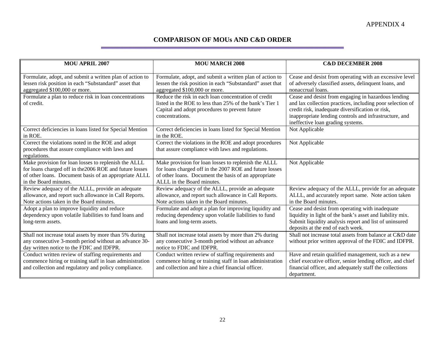÷

#### **COMPARISON OF MOUs AND C&D ORDER**

| <b>MOU APRIL 2007</b>                                                                                                                                                                             | <b>MOU MARCH 2008</b>                                                                                                                                                                                 | <b>C&amp;D DECEMBER 2008</b>                                                                                                                                                                                                                                        |
|---------------------------------------------------------------------------------------------------------------------------------------------------------------------------------------------------|-------------------------------------------------------------------------------------------------------------------------------------------------------------------------------------------------------|---------------------------------------------------------------------------------------------------------------------------------------------------------------------------------------------------------------------------------------------------------------------|
| Formulate, adopt, and submit a written plan of action to<br>lessen risk position in each "Substandard" asset that<br>aggregated \$100,000 or more.                                                | Formulate, adopt, and submit a written plan of action to<br>lessen the risk position in each "Substandard" asset that<br>aggregated \$100,000 or more.                                                | Cease and desist from operating with an excessive level<br>of adversely classified assets, delinquent loans, and<br>nonaccrual loans.                                                                                                                               |
| Formulate a plan to reduce risk in loan concentrations<br>of credit.                                                                                                                              | Reduce the risk in each loan concentration of credit<br>listed in the ROE to less than 25% of the bank's Tier 1<br>Capital and adopt procedures to prevent future<br>concentrations.                  | Cease and desist from engaging in hazardous lending<br>and lax collection practices, including poor selection of<br>credit risk, inadequate diversification or risk,<br>inappropriate lending controls and infrastructure, and<br>ineffective loan grading systems. |
| Correct deficiencies in loans listed for Special Mention<br>in ROE.                                                                                                                               | Correct deficiencies in loans listed for Special Mention<br>in the ROE.                                                                                                                               | Not Applicable                                                                                                                                                                                                                                                      |
| Correct the violations noted in the ROE and adopt<br>procedures that assure compliance with laws and<br>regulations.                                                                              | Correct the violations in the ROE and adopt procedures<br>that assure compliance with laws and regulations.                                                                                           | Not Applicable                                                                                                                                                                                                                                                      |
| Make provision for loan losses to replenish the ALLL<br>for loans charged off in the 2006 ROE and future losses<br>of other loans. Document basis of an appropriate ALLL<br>in the Board minutes. | Make provision for loan losses to replenish the ALLL<br>for loans charged off in the 2007 ROE and future losses<br>of other loans. Document the basis of an appropriate<br>ALLL in the Board minutes. | Not Applicable                                                                                                                                                                                                                                                      |
| Review adequacy of the ALLL, provide an adequate<br>allowance, and report such allowance in Call Reports.<br>Note actions taken in the Board minutes.                                             | Review adequacy of the ALLL, provide an adequate<br>allowance, and report such allowance in Call Reports.<br>Note actions taken in the Board minutes.                                                 | Review adequacy of the ALLL, provide for an adequate<br>ALLL, and accurately report same. Note action taken<br>in the Board minutes.                                                                                                                                |
| Adopt a plan to improve liquidity and reduce<br>dependency upon volatile liabilities to fund loans and<br>long-term assets.                                                                       | Formulate and adopt a plan for improving liquidity and<br>reducing dependency upon volatile liabilities to fund<br>loans and long-term assets.                                                        | Cease and desist from operating with inadequate<br>liquidity in light of the bank's asset and liability mix.<br>Submit liquidity analysis report and list of uninsured<br>deposits at the end of each week.                                                         |
| Shall not increase total assets by more than 5% during<br>any consecutive 3-month period without an advance 30-<br>day written notice to the FDIC and IDFPR.                                      | Shall not increase total assets by more than 2% during<br>any consecutive 3-month period without an advance<br>notice to FDIC and IDFPR.                                                              | Shall not increase total assets from balance at C&D date<br>without prior written approval of the FDIC and IDFPR.                                                                                                                                                   |
| Conduct written review of staffing requirements and<br>commence hiring or training staff in loan administration<br>and collection and regulatory and policy compliance.                           | Conduct written review of staffing requirements and<br>commence hiring or training staff in loan administration<br>and collection and hire a chief financial officer.                                 | Have and retain qualified management, such as a new<br>chief executive officer, senior lending officer, and chief<br>financial officer, and adequately staff the collections<br>department.                                                                         |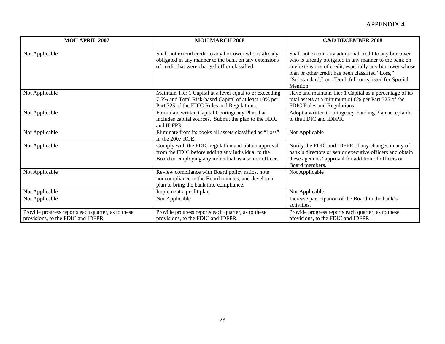| <b>MOU APRIL 2007</b>                                                                    | <b>MOU MARCH 2008</b>                                                                                                                                              | <b>C&amp;D DECEMBER 2008</b>                                                                                                                                                                                                                                                                        |
|------------------------------------------------------------------------------------------|--------------------------------------------------------------------------------------------------------------------------------------------------------------------|-----------------------------------------------------------------------------------------------------------------------------------------------------------------------------------------------------------------------------------------------------------------------------------------------------|
| Not Applicable                                                                           | Shall not extend credit to any borrower who is already<br>obligated in any manner to the bank on any extensions<br>of credit that were charged off or classified.  | Shall not extend any additional credit to any borrower<br>who is already obligated in any manner to the bank on<br>any extensions of credit, especially any borrower whose<br>loan or other credit has been classified "Loss,"<br>"Substandard," or "Doubtful" or is listed for Special<br>Mention. |
| Not Applicable                                                                           | Maintain Tier 1 Capital at a level equal to or exceeding<br>7.5% and Total Risk-based Capital of at least 10% per<br>Part 325 of the FDIC Rules and Regulations.   | Have and maintain Tier 1 Capital as a percentage of its<br>total assets at a minimum of 8% per Part 325 of the<br>FDIC Rules and Regulations.                                                                                                                                                       |
| Not Applicable                                                                           | Formulate written Capital Contingency Plan that<br>includes capital sources. Submit the plan to the FDIC<br>and IDFPR.                                             | Adopt a written Contingency Funding Plan acceptable<br>to the FDIC and IDFPR.                                                                                                                                                                                                                       |
| Not Applicable                                                                           | Eliminate from its books all assets classified as "Loss"<br>in the 2007 ROE.                                                                                       | Not Applicable                                                                                                                                                                                                                                                                                      |
| Not Applicable                                                                           | Comply with the FDIC regulation and obtain approval<br>from the FDIC before adding any individual to the<br>Board or employing any individual as a senior officer. | Notify the FDIC and IDFPR of any changes in any of<br>bank's directors or senior executive officers and obtain<br>these agencies' approval for addition of officers or<br>Board members.                                                                                                            |
| Not Applicable                                                                           | Review compliance with Board policy ratios, note<br>noncompliance in the Board minutes, and develop a<br>plan to bring the bank into compliance.                   | Not Applicable                                                                                                                                                                                                                                                                                      |
| Not Applicable                                                                           | Implement a profit plan.                                                                                                                                           | Not Applicable                                                                                                                                                                                                                                                                                      |
| Not Applicable                                                                           | Not Applicable                                                                                                                                                     | Increase participation of the Board in the bank's<br>activities.                                                                                                                                                                                                                                    |
| Provide progress reports each quarter, as to these<br>provisions, to the FDIC and IDFPR. | Provide progress reports each quarter, as to these<br>provisions, to the FDIC and IDFPR.                                                                           | Provide progress reports each quarter, as to these<br>provisions, to the FDIC and IDFPR.                                                                                                                                                                                                            |